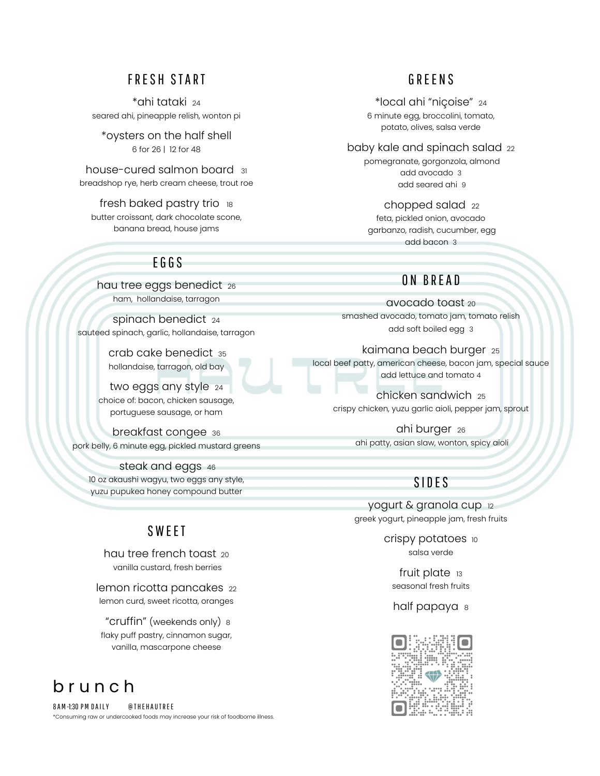#### FRESH START

\*ahi tataki <sup>24</sup> seared ahi, pineapple relish, wonton pi

\*oysters on the half shell 6 for 26 | 12 for 48

house-cured salmon board <sup>31</sup> breadshop rye, herb cream cheese, trout roe

fresh baked pastry trio 18 butter croissant, dark chocolate scone, banana bread, house jams

## E G G S

hau tree eggs benedict 26 ham, hollandaise, tarragon

spinach benedict <sup>24</sup> sauteed spinach, garlic, hollandaise, tarragon

> crab cake benedict <sup>35</sup> hollandaise, tarragon, old bay

two eggs any style 24 choice of: bacon, chicken sausage, portuguese sausage, or ham

breakfast congee <sup>36</sup> pork belly, 6 minute egg, pickled mustard greens

steak and eggs <sup>46</sup> 10 oz akaushi wagyu, two eggs any style, yuzu pupukea honey compound butter

### SWEET

hau tree french toast 20 vanilla custard, fresh berries

lemon ricotta pancakes 22 lemon curd, sweet ricotta, oranges

"cruffin" (weekends only) <sup>8</sup> flaky puff pastry, cinnamon sugar, vanilla, mascarpone cheese

# b r u n c h

8 A M -1:30 PM D A I LY @ THE H A U TREE \*Consuming raw or undercooked foods may increase your risk of foodborne illness.

### G REE N S

\*local ahi "niçoise" <sup>24</sup> 6 minute egg, broccolini, tomato, potato, olives, salsa verde

baby kale and spinach salad 22 pomegranate, gorgonzola, almond add avocado 3 add seared ahi 9

> chopped salad <sup>22</sup> feta, pickled onion, avocado garbanzo, radish, cucumber, egg add bacon 3

#### O N BREA D

avocado toast <sup>20</sup> smashed avocado, tomato jam, tomato relish add soft boiled egg 3

kaimana beach burger <sup>25</sup> local beef patty, american cheese, bacon jam, special sauce add lettuce and tomato 4

chicken sandwich <sup>25</sup> crispy chicken, yuzu garlic aioli, pepper jam, sprout

> ahi burger <sup>26</sup> ahi patty, asian slaw, wonton, spicy aioli

### **SIDES**

yogurt & granola cup <sup>12</sup> greek yogurt, pineapple jam, fresh fruits

> crispy potatoes 10 salsa verde

fruit plate 13 seasonal fresh fruits

half papaya 8